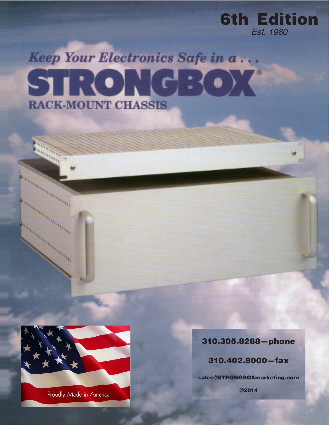

**www.STRONGBOXmarketing.com STRONGBOX®** 6th Edition



ennissimanning order of the contract of the contract of the contract of the contract of the contract of the contract of the contract of the contract of the contract of the contract of the contract of the contract of the co

ening straited and the contract of the contract of the contract of the contract of the contract of the contract of the contract of the contract of the contract of the contract of the contract of the contract of the contrac

antara personal de la construcción de la construcción de la construcción de la construcción de la construcción

-1

## 310.305.8288—phone

*Est. 1980*

310.402.8000—fax

sales@STRONGBOXmarketing.com

©2014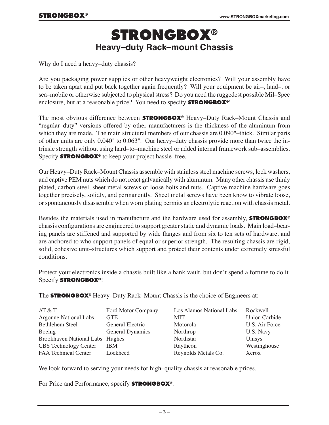# **STRONGBOX® Heavy–duty Rack–mount Chassis**

Why do I need a heavy–duty chassis?

Are you packaging power supplies or other heavyweight electronics? Will your assembly have to be taken apart and put back together again frequently? Will your equipment be air–, land–, or sea–mobile or otherwise subjected to physical stress? Do you need the ruggedest possible Mil–Spec enclosure, but at a reasonable price? You need to specify **STRONGBOX®**!

The most obvious difference between **STRONGBOX®** Heavy–Duty Rack–Mount Chassis and "regular–duty" versions offered by other manufacturers is the thickness of the aluminum from which they are made. The main structural members of our chassis are 0.090"–thick. Similar parts of other units are only 0.040" to 0.063". Our heavy–duty chassis provide more than twice the intrinsic strength without using hard–to–machine steel or added internal framework sub–assemblies. Specify **STRONGBOX®** to keep your project hassle–free.

Our Heavy–Duty Rack–Mount Chassis assemble with stainless steel machine screws, lock washers, and captive PEM nuts which do not react galvanically with aluminum. Many other chassis use thinly plated, carbon steel, sheet metal screws or loose bolts and nuts. Captive machine hardware goes together precisely, solidly, and permanently. Sheet metal screws have been know to vibrate loose, or spontaneously disassemble when worn plating permits an electrolytic reaction with chassis metal.

Besides the materials used in manufacture and the hardware used for assembly, **STRONGBOX®** chassis configurations are engineered to support greater static and dynamic loads. Main load–bearing panels are stiffened and supported by wide flanges and from six to ten sets of hardware, and are anchored to who support panels of equal or superior strength. The resulting chassis are rigid, solid, cohesive unit–structures which support and protect their contents under extremely stressful conditions.

Protect your electronics inside a chassis built like a bank vault, but don't spend a fortune to do it. Specify **STRONGBOX®**!

The **STRONGBOX®** Heavy–Duty Rack–Mount Chassis is the choice of Engineers at:

| AT & T                          | Ford Motor Company | Los Alamos National Labs | Rockwell             |
|---------------------------------|--------------------|--------------------------|----------------------|
| <b>Argonne National Labs</b>    | <b>GTE</b>         | <b>MIT</b>               | <b>Union Carbide</b> |
| <b>Bethlehem Steel</b>          | General Electric   | Motorola                 | U.S. Air Force       |
| Boeing                          | General Dynamics   | Northrop                 | U.S. Navy            |
| Brookhaven National Labs Hughes |                    | Northstar                | Unisys               |
| <b>CBS</b> Technology Center    | <b>IBM</b>         | Raytheon                 | Westinghouse         |
| <b>FAA Technical Center</b>     | Lockheed           | Reynolds Metals Co.      | Xerox                |

We look forward to serving your needs for high–quality chassis at reasonable prices.

For Price and Performance, specify **STRONGBOX®**.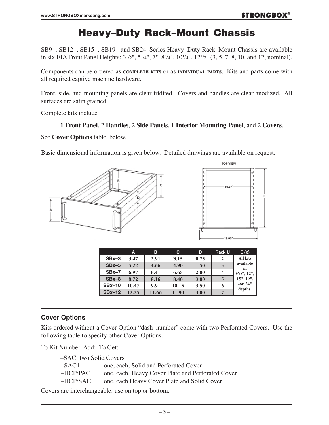# Heavy–Duty Rack–Mount Chassis

SB9–, SB12–, SB15–, SB19– and SB24–Series Heavy–Duty Rack–Mount Chassis are available in six EIA Front Panel Heights:  $3^{1/2}$ ",  $5^{1/4}$ ",  $7$ ",  $8^{3/4}$ ",  $10^{1/4}$ ",  $12^{1/2}$ " (3, 5, 7, 8, 10, and 12, nominal).

Components can be ordered as **complete kits** or as **individual parts**. Kits and parts come with all required captive machine hardware.

Front, side, and mounting panels are clear iridited. Covers and handles are clear anodized. All surfaces are satin grained.

Complete kits include

#### **1 Front Panel**, 2 **Handles**, 2 **Side Panels**, 1 **Interior Mounting Panel**, and 2 **Covers**.

See **Cover Options** table, below.

Basic dimensional information is given below. Detailed drawings are available on request.





|          | A     | в     | C.    | D    | <b>Rack U</b> | E(x)                   |
|----------|-------|-------|-------|------|---------------|------------------------|
| $SBx-3$  | 3.47  | 2.91  | 3.15  | 0.75 | 2             | <b>All kits</b>        |
| $SBx-5$  | 5.22  | 4.66  | 4.90  | 1.50 | 3             | available<br><i>in</i> |
| $SBx-7$  | 6.97  | 6.41  | 6.65  | 2.00 | 4             | $91/2$ ", 12",         |
| $SBx-8$  | 8.72  | 8.16  | 8.40  | 3.00 |               | 15", 19",              |
| $SBx-10$ | 10.47 | 9.91  | 10.15 | 3.50 | 6             | <b>AND 24"</b>         |
| $SBx-12$ | 12.25 | 11.66 | 11.90 | 4.00 |               | depths.                |

#### **Cover Options**

Kits ordered without a Cover Option "dash–number" come with two Perforated Covers. Use the following table to specify other Cover Options.

To Kit Number, Add: To Get:

| -SAC two Solid Covers |                                                   |  |  |
|-----------------------|---------------------------------------------------|--|--|
| –SAC1.                | one, each, Solid and Perforated Cover             |  |  |
| -HCP/PAC              | one, each, Heavy Cover Plate and Perforated Cover |  |  |
| -HCP/SAC              | one, each Heavy Cover Plate and Solid Cover       |  |  |

Covers are interchangeable: use on top or bottom.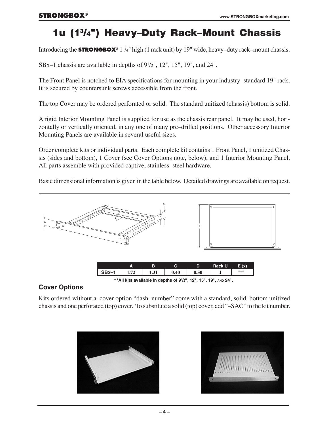# 1u (13/4") Heavy–Duty Rack–Mount Chassis

Introducing the **STRONGBOX**® 1<sup>3</sup>/4" high (1 rack unit) by 19" wide, heavy–duty rack–mount chassis.

SBx–1 chassis are available in depths of  $9<sup>1</sup>/2$ ", 12", 15", 19", and 24".

The Front Panel is notched to EIA specifications for mounting in your industry–standard 19" rack. It is secured by countersunk screws accessible from the front.

The top Cover may be ordered perforated or solid. The standard unitized (chassis) bottom is solid.

A rigid Interior Mounting Panel is supplied for use as the chassis rear panel. It may be used, horizontally or vertically oriented, in any one of many pre–drilled positions. Other accessory Interior Mounting Panels are available in several useful sizes.

Order complete kits or individual parts. Each complete kit contains 1 Front Panel, 1 unitized Chassis (sides and bottom), 1 Cover (see Cover Options note, below), and 1 Interior Mounting Panel. All parts assemble with provided captive, stainless–steel hardware.

Basic dimensional information is given in the table below. Detailed drawings are available on request.



**\*\*\*All kits available in depths of 91 /2", 12", 15", 19", and 24".**

## **Cover Options**

Kits ordered without a cover option "dash–number" come with a standard, solid–bottom unitized chassis and one perforated (top) cover. To substitute a solid (top) cover, add "–SAC" to the kit number.



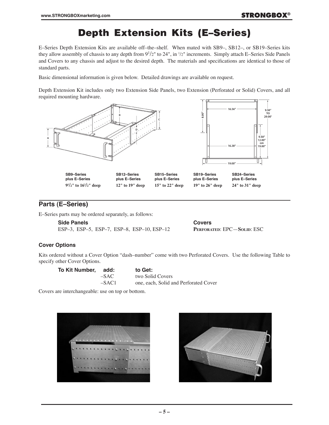# Depth Extension Kits (E–Series)

E–Series Depth Extension Kits are available off–the–shelf. When mated with SB9–, SB12–, or SB19–Series kits they allow assembly of chassis to any depth from  $9^{1}/2$ " to  $24$ ", in  $1/2$ " increments. Simply attach E–Series Side Panels and Covers to any chassis and adjust to the desired depth. The materials and specifications are identical to those of standard parts.

Basic dimensional information is given below. Detailed drawings are available on request.

Depth Extension Kit includes only two Extension Side Panels, two Extension (Perforated or Solid) Covers, and all required mounting hardware.



### **Parts (E–Series)**

E–Series parts may be ordered separately, as follows:

**Side Panels Covers** ESP–3, ESP–5, ESP–7, ESP–8, ESP–10, ESP–12 **Perforated**: EPC—**Solid**: ESC

#### **Cover Options**

Kits ordered without a Cover Option "dash–number" come with two Perforated Covers. Use the following Table to specify other Cover Options.

| To Kit Number, add: |         | to Get:                               |
|---------------------|---------|---------------------------------------|
|                     | $-SAC$  | two Solid Covers                      |
|                     | $-SAC1$ | one, each, Solid and Perforated Cover |

Covers are interchangeable: use on top or bottom.



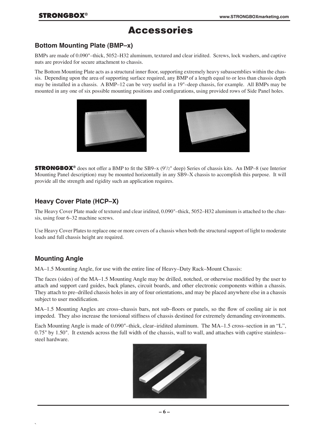## Accessories

#### **Bottom Mounting Plate (BMP–x)**

BMPs are made of 0.090"–thick, 5052–H32 aluminum, textured and clear iridited. Screws, lock washers, and captive nuts are provided for secure attachment to chassis.

The Bottom Mounting Plate acts as a structural inner floor, supporting extremely heavy subassemblies within the chassis. Depending upon the area of supporting surface required, any BMP of a length equal to or less than chassis depth may be installed in a chassis. A BMP–12 can be very useful in a 19"–deep chassis, for example. All BMPs may be mounted in any one of six possible mounting positions and configurations, using provided rows of Side Panel holes.





**STRONGBOX<sup>®</sup>** does not offer a BMP to fit the SB9–x (9<sup>1</sup>/2" deep) Series of chassis kits. An IMP–8 (see Interior Mounting Panel description) may be mounted horizontally in any SB9–X chassis to accomplish this purpose. It will provide all the strength and rigidity such an application requires.

## **Heavy Cover Plate (HCP–X)**

The Heavy Cover Plate made of textured and clear iridited, 0.090"–thick, 5052–H32 aluminum is attached to the chassis, using four 6–32 machine screws.

Use Heavy Cover Plates to replace one or more covers of a chassis when both the structural support of light to moderate loads and full chassis height are required.

## **Mounting Angle**

`

MA–1.5 Mounting Angle, for use with the entire line of Heavy–Duty Rack–Mount Chassis:

The faces (sides) of the MA–1.5 Mounting Angle may be drilled, notched, or otherwise modified by the user to attach and support card guides, back planes, circuit boards, and other electronic components within a chassis. They attach to pre–drilled chassis holes in any of four orientations, and may be placed anywhere else in a chassis subject to user modification.

MA–1.5 Mounting Angles are cross–chassis bars, not sub–floors or panels, so the flow of cooling air is not impeded. They also increase the torsional stiffness of chassis destined for extremely demanding environments.

Each Mounting Angle is made of 0.090"–thick, clear–iridited aluminum. The MA–1.5 cross–section in an "L", 0.75" by 1.50". It extends across the full width of the chassis, wall to wall, and attaches with captive stainless– steel hardware.

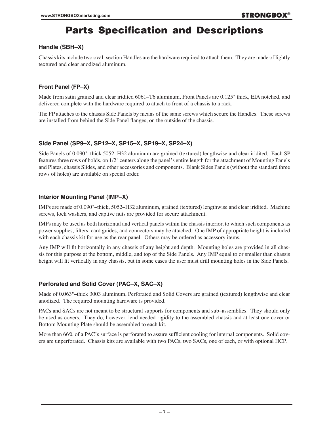## Parts Specification and Descriptions

#### **Handle (SBH–X)**

Chassis kits include two oval–section Handles are the hardware required to attach them. They are made of lightly textured and clear anodized aluminum.

#### **Front Panel (FP–X)**

Made from satin grained and clear iridited 6061–T6 aluminum, Front Panels are 0.125" thick, EIA notched, and delivered complete with the hardware required to attach to front of a chassis to a rack.

The FP attaches to the chassis Side Panels by means of the same screws which secure the Handles. These screws are installed from behind the Side Panel flanges, on the outside of the chassis.

#### **Side Panel (SP9–X, SP12–X, SP15–X, SP19–X, SP24–X)**

Side Panels of 0.090"–thick 5052–H32 aluminum are grained (textured) lengthwise and clear iridited. Each SP features three rows of holds, on 1/2" centers along the panel's entire length for the attachment of Mounting Panels and Plates, chassis Slides, and other accessories and components. Blank Sides Panels (without the standard three rows of holes) are available on special order.

#### **Interior Mounting Panel (IMP–X)**

IMPs are made of 0.090"–thick, 5052–H32 aluminum, grained (textured) lengthwise and clear iridited. Machine screws, lock washers, and captive nuts are provided for secure attachment.

IMPs may be used as both horizontal and vertical panels within the chassis interior, to which such components as power supplies, filters, card guides, and connectors may be attached. One IMP of appropriate height is included with each chassis kit for use as the rear panel. Others may be ordered as accessory items.

Any IMP will fit horizontally in any chassis of any height and depth. Mounting holes are provided in all chassis for this purpose at the bottom, middle, and top of the Side Panels. Any IMP equal to or smaller than chassis height will fit vertically in any chassis, but in some cases the user must drill mounting holes in the Side Panels.

#### **Perforated and Solid Cover (PAC–X, SAC–X)**

Made of 0.063"–thick 3003 aluminum, Perforated and Solid Covers are grained (textured) lengthwise and clear anodized. The required mounting hardware is provided.

PACs and SACs are not meant to be structural supports for components and sub–assemblies. They should only be used as covers. They do, however, lend needed rigidity to the assembled chassis and at least one cover or Bottom Mounting Plate should be assembled to each kit.

More than 66% of a PAC's surface is perforated to assure sufficient cooling for internal components. Solid covers are unperforated. Chassis kits are available with two PACs, two SACs, one of each, or with optional HCP.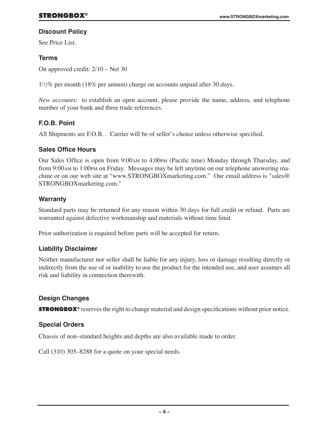### **Discount Policy**

See Price List.

## **Terms**

On approved credit: 2/10 – Net 30

11 /2% per month (18% per annum) charge on accounts unpaid after 30 days.

*New accounts*: to establish an open account, please provide the name, address, and telephone number of your bank and three trade references.

## **F.O.B. Point**

All Shipments are F.O.B. . Carrier will be of seller's choice unless otherwise specified.

## **Sales Office Hours**

Our Sales Office is open from 9:00am to 4:00pm (Pacific time) Monday through Thursday, and from 9:00am to 1:00pm on Friday. Messages may be left anytime on our telephone answering machine or on our web site at "www.STRONGBOXmarketing.com." Our email address is "sales@ STRONGBOXmarketing.com."

## **Warranty**

Standard parts may be returned for any reason within 30 days for full credit or refund. Parts are warranted against defective workmanship and materials without time limit.

Prior authorization is required before parts will be accepted for return.

## **Liability Disclaimer**

Neither manufacturer nor seller shall be liable for any injury, loss or damage resulting directly or indirectly from the use of or inability to use the product for the intended use, and user assumes all risk and liability in connection therewith.

## **Design Changes**

**STRONGBOX**<sup>®</sup> reserves the right to change material and design specifications without prior notice.

## **Special Orders**

Chassis of non–standard heights and depths are also available made to order.

Call (310) 305–8288 for a quote on your special needs.